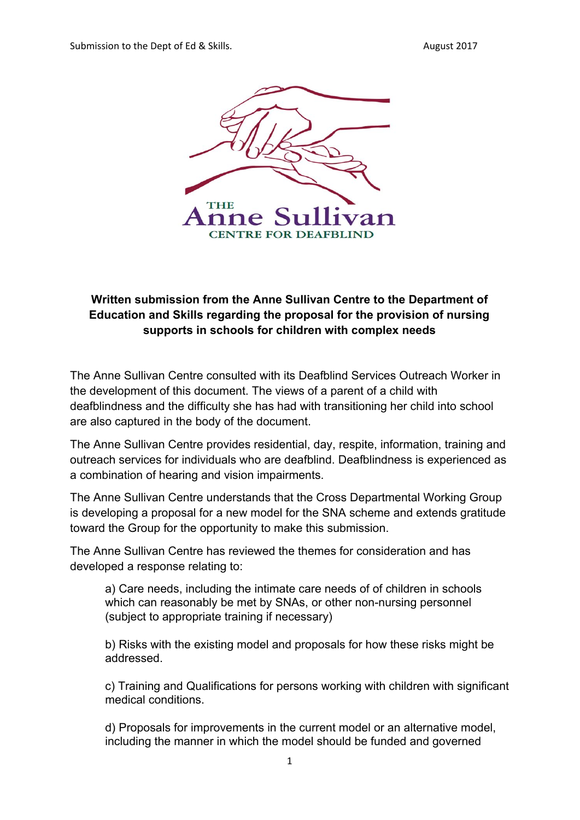Submission to the Dept of Ed & Skills. August 2017



## **Written submission from the Anne Sullivan Centre to the Department of Education and Skills regarding the proposal for the provision of nursing supports in schools for children with complex needs**

The Anne Sullivan Centre consulted with its Deafblind Services Outreach Worker in the development of this document. The views of a parent of a child with deafblindness and the difficulty she has had with transitioning her child into school are also captured in the body of the document.

The Anne Sullivan Centre provides residential, day, respite, information, training and outreach services for individuals who are deafblind. Deafblindness is experienced as a combination of hearing and vision impairments.

The Anne Sullivan Centre understands that the Cross Departmental Working Group is developing a proposal for a new model for the SNA scheme and extends gratitude toward the Group for the opportunity to make this submission.

The Anne Sullivan Centre has reviewed the themes for consideration and has developed a response relating to:

a) Care needs, including the intimate care needs of of children in schools which can reasonably be met by SNAs, or other non-nursing personnel (subject to appropriate training if necessary)

b) Risks with the existing model and proposals for how these risks might be addressed.

c) Training and Qualifications for persons working with children with significant medical conditions.

d) Proposals for improvements in the current model or an alternative model, including the manner in which the model should be funded and governed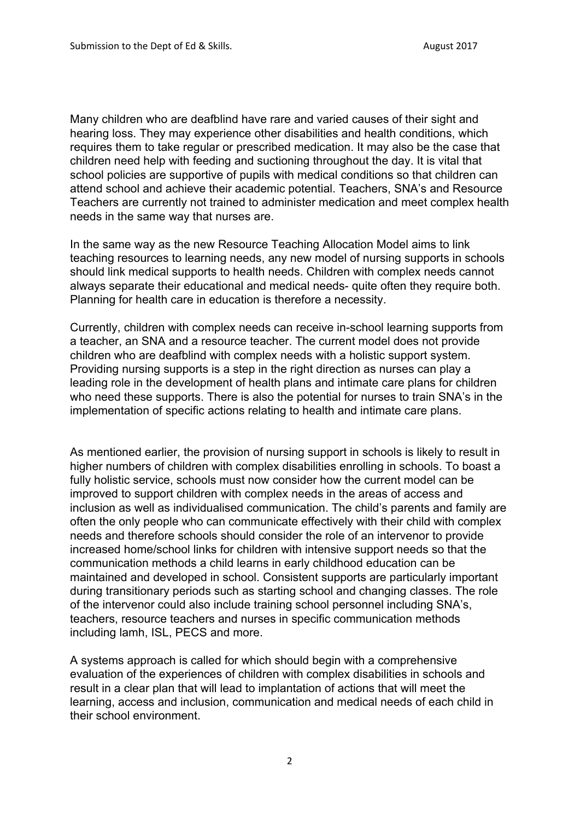Many children who are deafblind have rare and varied causes of their sight and hearing loss. They may experience other disabilities and health conditions, which requires them to take regular or prescribed medication. It may also be the case that children need help with feeding and suctioning throughout the day. It is vital that school policies are supportive of pupils with medical conditions so that children can attend school and achieve their academic potential. Teachers, SNA's and Resource Teachers are currently not trained to administer medication and meet complex health needs in the same way that nurses are.

In the same way as the new Resource Teaching Allocation Model aims to link teaching resources to learning needs, any new model of nursing supports in schools should link medical supports to health needs. Children with complex needs cannot always separate their educational and medical needs- quite often they require both. Planning for health care in education is therefore a necessity.

Currently, children with complex needs can receive in-school learning supports from a teacher, an SNA and a resource teacher. The current model does not provide children who are deafblind with complex needs with a holistic support system. Providing nursing supports is a step in the right direction as nurses can play a leading role in the development of health plans and intimate care plans for children who need these supports. There is also the potential for nurses to train SNA's in the implementation of specific actions relating to health and intimate care plans.

As mentioned earlier, the provision of nursing support in schools is likely to result in higher numbers of children with complex disabilities enrolling in schools. To boast a fully holistic service, schools must now consider how the current model can be improved to support children with complex needs in the areas of access and inclusion as well as individualised communication. The child's parents and family are often the only people who can communicate effectively with their child with complex needs and therefore schools should consider the role of an intervenor to provide increased home/school links for children with intensive support needs so that the communication methods a child learns in early childhood education can be maintained and developed in school. Consistent supports are particularly important during transitionary periods such as starting school and changing classes. The role of the intervenor could also include training school personnel including SNA's, teachers, resource teachers and nurses in specific communication methods including lamh, ISL, PECS and more.

A systems approach is called for which should begin with a comprehensive evaluation of the experiences of children with complex disabilities in schools and result in a clear plan that will lead to implantation of actions that will meet the learning, access and inclusion, communication and medical needs of each child in their school environment.